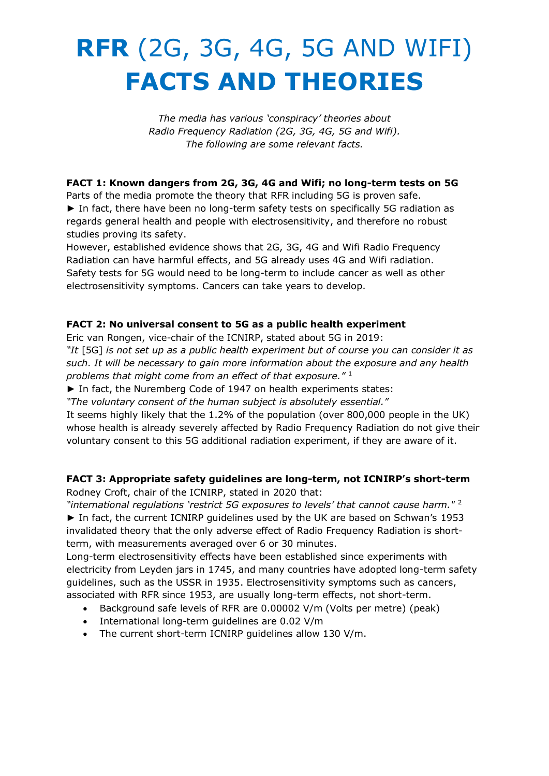# **RFR** (2G, 3G, 4G, 5G AND WIFI) **FACTS AND THEORIES**

*The media has various 'conspiracy' theories about Radio Frequency Radiation (2G, 3G, 4G, 5G and Wifi). The following are some relevant facts.*

# **FACT 1: Known dangers from 2G, 3G, 4G and Wifi; no long-term tests on 5G**

Parts of the media promote the theory that RFR including 5G is proven safe. ► In fact, there have been no long-term safety tests on specifically 5G radiation as regards general health and people with electrosensitivity, and therefore no robust studies proving its safety.

However, established evidence shows that 2G, 3G, 4G and Wifi Radio Frequency Radiation can have harmful effects, and 5G already uses 4G and Wifi radiation. Safety tests for 5G would need to be long-term to include cancer as well as other electrosensitivity symptoms. Cancers can take years to develop.

# **FACT 2: No universal consent to 5G as a public health experiment**

Eric van Rongen, vice-chair of the ICNIRP, stated about 5G in 2019:

*"It* [5G] *is not set up as a public health experiment but of course you can consider it as such. It will be necessary to gain more information about the exposure and any health problems that might come from an effect of that exposure."* <sup>1</sup>

► In fact, the Nuremberg Code of 1947 on health experiments states:

*"The voluntary consent of the human subject is absolutely essential."* 

It seems highly likely that the 1.2% of the population (over 800,000 people in the UK) whose health is already severely affected by Radio Frequency Radiation do not give their voluntary consent to this 5G additional radiation experiment, if they are aware of it.

# **FACT 3: Appropriate safety guidelines are long-term, not ICNIRP's short-term**

Rodney Croft, chair of the ICNIRP, stated in 2020 that:

*"international regulations 'restrict 5G exposures to levels' that cannot cause harm."* <sup>2</sup> ► In fact, the current ICNIRP guidelines used by the UK are based on Schwan's 1953 invalidated theory that the only adverse effect of Radio Frequency Radiation is shortterm, with measurements averaged over 6 or 30 minutes.

Long-term electrosensitivity effects have been established since experiments with electricity from Leyden jars in 1745, and many countries have adopted long-term safety guidelines, such as the USSR in 1935. Electrosensitivity symptoms such as cancers, associated with RFR since 1953, are usually long-term effects, not short-term.

- Background safe levels of RFR are 0.00002 V/m (Volts per metre) (peak)
- International long-term guidelines are 0.02 V/m
- The current short-term ICNIRP guidelines allow 130 V/m.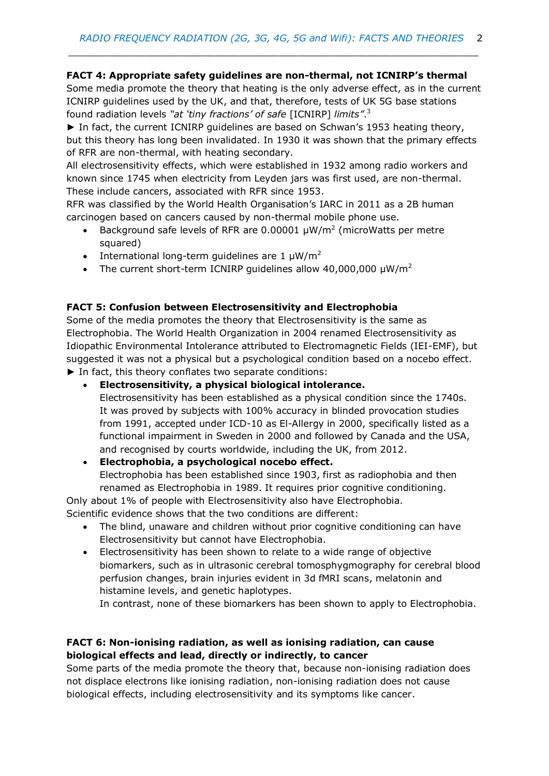*\_\_\_\_\_\_\_\_\_\_\_\_\_\_\_\_\_\_\_\_\_\_\_\_\_\_\_\_\_\_\_\_\_\_\_\_\_\_\_\_\_\_\_\_\_\_\_\_\_\_\_\_\_\_\_\_\_\_\_\_\_\_\_\_\_\_\_\_\_\_*

# **FACT 4: Appropriate safety guidelines are non-thermal, not ICNIRP's thermal**

Some media promote the theory that heating is the only adverse effect, as in the current ICNIRP guidelines used by the UK, and that, therefore, tests of UK 5G base stations found radiation levels *"at 'tiny fractions' of safe* [ICNIRP] *limits"*. 3

► In fact, the current ICNIRP guidelines are based on Schwan's 1953 heating theory, but this theory has long been invalidated. In 1930 it was shown that the primary effects of RFR are non-thermal, with heating secondary.

All electrosensitivity effects, which were established in 1932 among radio workers and known since 1745 when electricity from Leyden jars was first used, are non-thermal. These include cancers, associated with RFR since 1953.

RFR was classified by the World Health Organisation's IARC in 2011 as a 2B human carcinogen based on cancers caused by non-thermal mobile phone use.

- Background safe levels of RFR are 0.00001  $\mu$ W/m<sup>2</sup> (microWatts per metre squared)
- International long-term quidelines are  $1 \mu W/m^2$
- The current short-term ICNIRP quidelines allow  $40,000,000 \mu W/m^2$

## **FACT 5: Confusion between Electrosensitivity and Electrophobia**

Some of the media promotes the theory that Electrosensitivity is the same as Electrophobia. The World Health Organization in 2004 renamed Electrosensitivity as Idiopathic Environmental Intolerance attributed to Electromagnetic Fields (IEI-EMF), but suggested it was not a physical but a psychological condition based on a nocebo effect. ► In fact, this theory conflates two separate conditions:

• **Electrosensitivity, a physical biological intolerance.**

Electrosensitivity has been established as a physical condition since the 1740s. It was proved by subjects with 100% accuracy in blinded provocation studies from 1991, accepted under ICD-10 as El-Allergy in 2000, specifically listed as a functional impairment in Sweden in 2000 and followed by Canada and the USA, and recognised by courts worldwide, including the UK, from 2012.

## • **Electrophobia, a psychological nocebo effect.** Electrophobia has been established since 1903, first as radiophobia and then renamed as Electrophobia in 1989. It requires prior cognitive conditioning.

Only about 1% of people with Electrosensitivity also have Electrophobia. Scientific evidence shows that the two conditions are different:

- The blind, unaware and children without prior cognitive conditioning can have Electrosensitivity but cannot have Electrophobia.
- Electrosensitivity has been shown to relate to a wide range of objective biomarkers, such as in ultrasonic cerebral tomosphygmography for cerebral blood perfusion changes, brain injuries evident in 3d fMRI scans, melatonin and histamine levels, and genetic haplotypes.

In contrast, none of these biomarkers has been shown to apply to Electrophobia.

## **FACT 6: Non-ionising radiation, as well as ionising radiation, can cause biological effects and lead, directly or indirectly, to cancer**

Some parts of the media promote the theory that, because non-ionising radiation does not displace electrons like ionising radiation, non-ionising radiation does not cause biological effects, including electrosensitivity and its symptoms like cancer.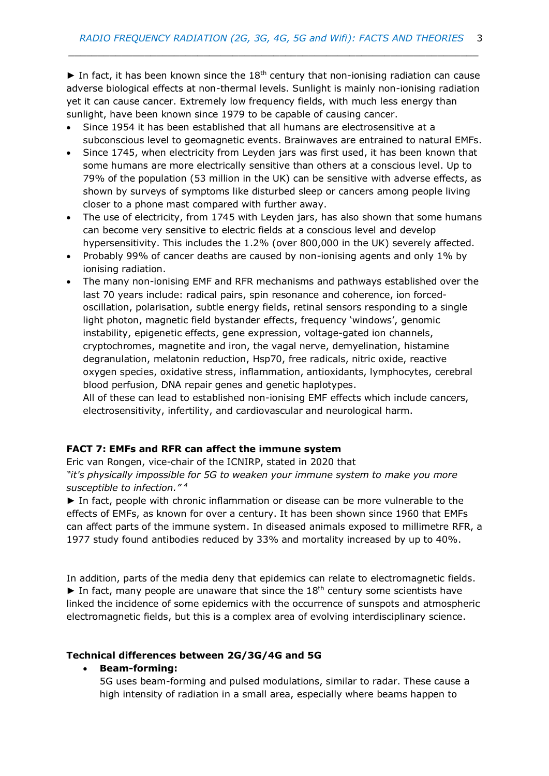$\blacktriangleright$  In fact, it has been known since the 18<sup>th</sup> century that non-ionising radiation can cause adverse biological effects at non-thermal levels. Sunlight is mainly non-ionising radiation yet it can cause cancer. Extremely low frequency fields, with much less energy than sunlight, have been known since 1979 to be capable of causing cancer.

*\_\_\_\_\_\_\_\_\_\_\_\_\_\_\_\_\_\_\_\_\_\_\_\_\_\_\_\_\_\_\_\_\_\_\_\_\_\_\_\_\_\_\_\_\_\_\_\_\_\_\_\_\_\_\_\_\_\_\_\_\_\_\_\_\_\_\_\_\_\_*

- Since 1954 it has been established that all humans are electrosensitive at a subconscious level to geomagnetic events. Brainwaves are entrained to natural EMFs.
- Since 1745, when electricity from Leyden jars was first used, it has been known that some humans are more electrically sensitive than others at a conscious level. Up to 79% of the population (53 million in the UK) can be sensitive with adverse effects, as shown by surveys of symptoms like disturbed sleep or cancers among people living closer to a phone mast compared with further away.
- The use of electricity, from 1745 with Leyden jars, has also shown that some humans can become very sensitive to electric fields at a conscious level and develop hypersensitivity. This includes the 1.2% (over 800,000 in the UK) severely affected.
- Probably 99% of cancer deaths are caused by non-ionising agents and only 1% by ionising radiation.
- The many non-ionising EMF and RFR mechanisms and pathways established over the last 70 years include: radical pairs, spin resonance and coherence, ion forcedoscillation, polarisation, subtle energy fields, retinal sensors responding to a single light photon, magnetic field bystander effects, frequency 'windows', genomic instability, epigenetic effects, gene expression, voltage-gated ion channels, cryptochromes, magnetite and iron, the vagal nerve, demyelination, histamine degranulation, melatonin reduction, Hsp70, free radicals, nitric oxide, reactive oxygen species, oxidative stress, inflammation, antioxidants, lymphocytes, cerebral blood perfusion, DNA repair genes and genetic haplotypes.

All of these can lead to established non-ionising EMF effects which include cancers, electrosensitivity, infertility, and cardiovascular and neurological harm.

#### **FACT 7: EMFs and RFR can affect the immune system**

Eric van Rongen, vice-chair of the ICNIRP, stated in 2020 that *"it's physically impossible for 5G to weaken your immune system to make you more susceptible to infection." 4*

► In fact, people with chronic inflammation or disease can be more vulnerable to the effects of EMFs, as known for over a century. It has been shown since 1960 that EMFs can affect parts of the immune system. In diseased animals exposed to millimetre RFR, a 1977 study found antibodies reduced by 33% and mortality increased by up to 40%.

In addition, parts of the media deny that epidemics can relate to electromagnetic fields.  $\blacktriangleright$  In fact, many people are unaware that since the 18<sup>th</sup> century some scientists have linked the incidence of some epidemics with the occurrence of sunspots and atmospheric electromagnetic fields, but this is a complex area of evolving interdisciplinary science.

#### **Technical differences between 2G/3G/4G and 5G**

#### • **Beam-forming:**

5G uses beam-forming and pulsed modulations, similar to radar. These cause a high intensity of radiation in a small area, especially where beams happen to